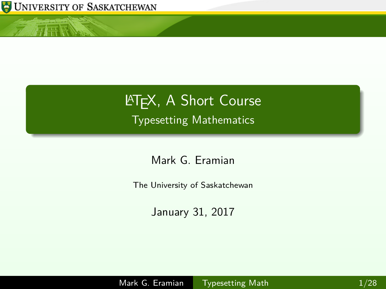

<span id="page-0-0"></span>小王怪

# **LATEX, A Short Course** Typesetting Mathematics

Mark G. Eramian

The University of Saskatchewan

January 31, 2017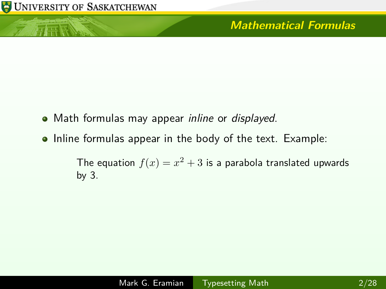小王怪

- Math formulas may appear *inline* or *displayed*.
- Inline formulas appear in the body of the text. Example:

The equation  $f(x) = x^2 + 3$  is a parabola translated upwards by 3.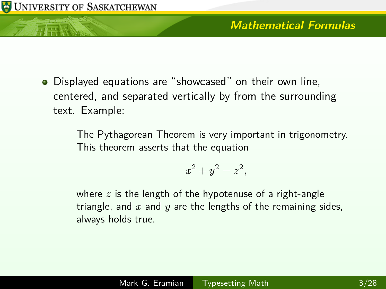Displayed equations are "showcased" on their own line, centered, and separated vertically by from the surrounding text. Example:

UNIVERSITY OF SASKATCHEWAN

The Pythagorean Theorem is very important in trigonometry. This theorem asserts that the equation

$$
x^2 + y^2 = z^2,
$$

where *z* is the length of the hypotenuse of a right-angle triangle, and *x* and *y* are the lengths of the remaining sides, always holds true.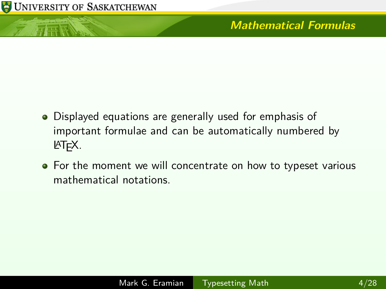

**ATTER NEWS** 

- Displayed equations are generally used for emphasis of important formulae and can be automatically numbered by LATEX.
- For the moment we will concentrate on how to typeset various mathematical notations.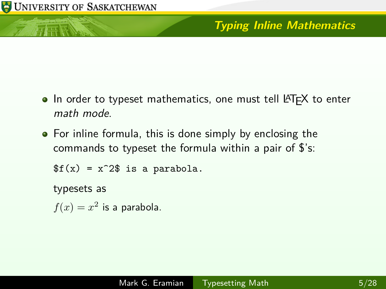行正版

# **Typing Inline Mathematics**

- In order to typeset mathematics, one must tell LATEX to enter math mode.
- For inline formula, this is done simply by enclosing the commands to typeset the formula within a pair of \$'s:

 $f(x) = x^2$  is a parabola.

typesets as

 $f(x) = x^2$  is a parabola.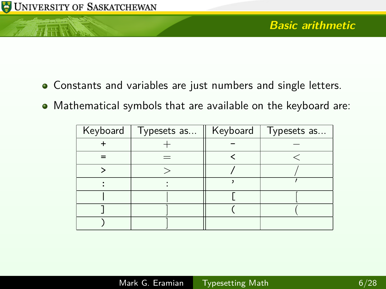元素

- Constants and variables are just numbers and single letters.
- Mathematical symbols that are available on the keyboard are:

| Keyboard   Typesets as | Keyboard   Typesets as |  |
|------------------------|------------------------|--|
|                        |                        |  |
|                        |                        |  |
|                        |                        |  |
|                        |                        |  |
|                        |                        |  |
|                        |                        |  |
|                        |                        |  |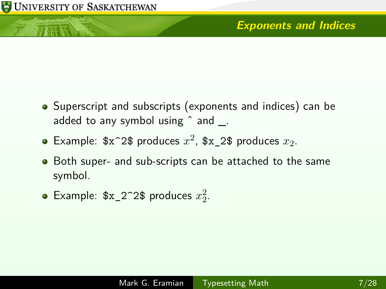**ATTER NEWS** 

- Superscript and subscripts (exponents and indices) can be added to any symbol using  $\hat{ }$  and  $\hat{ }$ .
- Example:  $x^2$  produces  $x^2$ ,  $x_2$  produces  $x_2$ .
- Both super- and sub-scripts can be attached to the same symbol.
- Example:  $x_2^2$  2<sup>2</sup> produces  $x_2^2$ .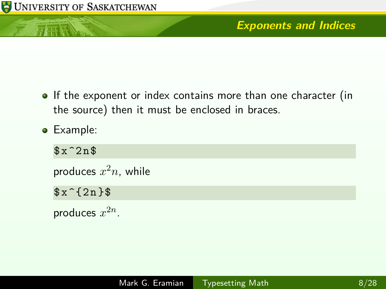小庄区

- If the exponent or index contains more than one character (in the source) then it must be enclosed in braces.
- Example:

 $x^22n$ \$

produces *x* <sup>2</sup>*n*, while

 $$x^1$ {2n }\$

produces  $x^{2n}$ .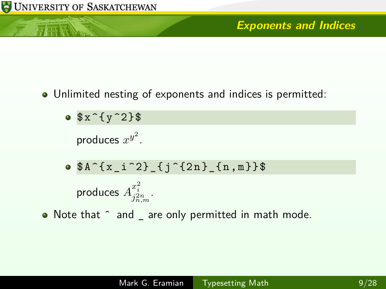小豆腐

#### **Exponents and Indices**

Unlimited nesting of exponents and indices is permitted:

 $\bullet$  \$x<sup>2</sup>{ y<sup>2</sup>}\$

produces  $x^{y^2}$ .

$$
\bullet \$A^{\hat{}}\{x_i^2\} _{i}^{\hat{}}\} _{1}^{\hat{}}\} = \{n,m\}\}
$$

$$
\text{produces } A^{x_i^2}_{j_{n,m}^2}.
$$

• Note that  $\hat{ }$  and  $\hat{ }$  are only permitted in math mode.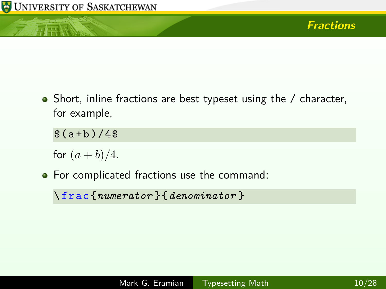上耳唇

• Short, inline fractions are best typeset using the / character, for example,

 $$(a+b)/4$$ 

for  $(a + b)/4$ .

• For complicated fractions use the command:

\ frac {*numerator* }{*denominator* }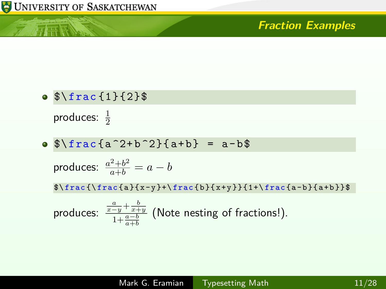

小兵县

#### **Fraction Examples**

 $\bullet$   $\frac{1}{2}$ produces:  $\frac{1}{2}$ 

 $\bullet$   $\frac{1}{2}e^{a^2+b^2}$  { a + b } = a - b \$

$$
\text{produces: } \frac{a^2 + b^2}{a + b} = a - b
$$

 $\frac{\frac{a}{x-y}+\frac{b}{x+y}}{1+\frac{a-b}{a+b}}$ 

produces: 
$$
\frac{\frac{a}{x-y} + \frac{b}{x+y}}{1 + \frac{a-b}{a+b}}
$$
 (Note nesting of fractions!).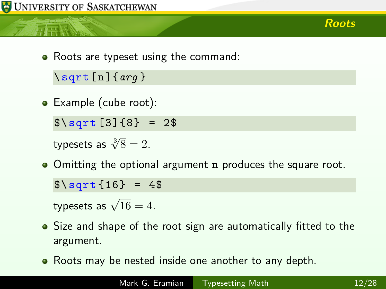**Roots**

• Roots are typeset using the command:

\ sqrt [ n ]{*arg* }

• Example (cube root):

 $\sqrt{\sqrt{3} + 2\$ 

typesets as  $\sqrt[3]{8} = 2$ .

• Omitting the optional argument n produces the square root.

 $\sqrt{$\sqrt{sqrt(16)} = 4\$ 

typesets as  $\sqrt{16} = 4$ .

- Size and shape of the root sign are automatically fitted to the argument.
- Roots may be nested inside one another to any depth.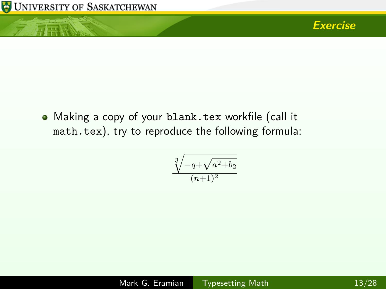

小豆腐



Making a copy of your blank.tex workfile (call it math.tex), try to reproduce the following formula:

$$
\frac{\sqrt[3]{-q+\sqrt{a^2+b_2}}}{(n+1)^2}
$$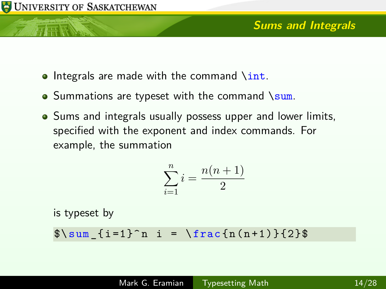ਜਦ ਵਿੱ

- $\bullet$  Integrals are made with the command  $\int$ int.
- $\bullet$  Summations are typeset with the command \sum.
- Sums and integrals usually possess upper and lower limits, specified with the exponent and index commands. For example, the summation

$$
\sum_{i=1}^{n} i = \frac{n(n+1)}{2}
$$

is typeset by

 $\sum_{i = 1}^n i = \frac{n(n+1)}{2}\$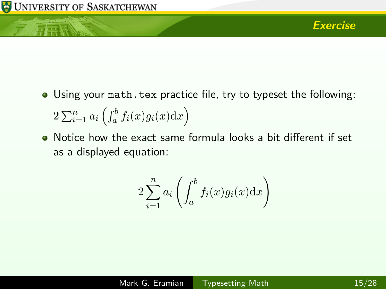- Using your math.tex practice file, try to typeset the following:  $2\sum_{i=1}^n a_i \left( \int_a^b f_i(x) g_i(x) dx \right)$
- Notice how the exact same formula looks a bit different if set as a displayed equation:

$$
2\sum_{i=1}^{n} a_i \left( \int_a^b f_i(x) g_i(x) \mathrm{d}x \right)
$$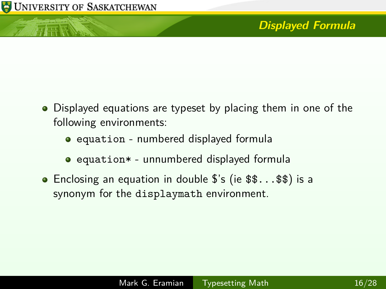有毒素

- Displayed equations are typeset by placing them in one of the following environments:
	- equation numbered displayed formula
	- equation\* unnumbered displayed formula
- Enclosing an equation in double \$'s (ie \$\$...\$\$) is a synonym for the displaymath environment.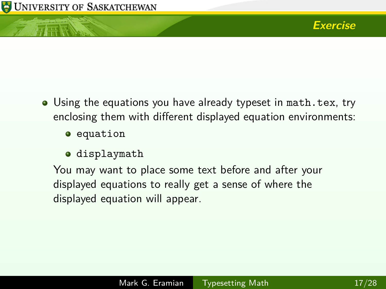- Using the equations you have already typeset in math.tex, try enclosing them with different displayed equation environments:
	- **•** equation
	- displaymath

You may want to place some text before and after your displayed equations to really get a sense of where the displayed equation will appear.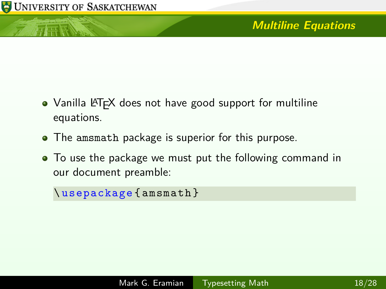元麻

- Vanilla LATEX does not have good support for multiline equations.
- The amsmath package is superior for this purpose.
- To use the package we must put the following command in our document preamble:

\ usepackage { amsmath }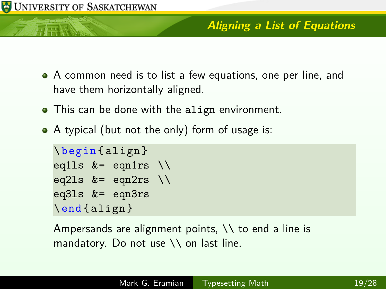

TTE

#### **Aligning a List of Equations**

- A common need is to list a few equations, one per line, and have them horizontally aligned.
- This can be done with the align environment.
- A typical (but not the only) form of usage is:

```
\ begin { align }
eq1ls &= eqn1rs \setminus\setminuseq2ls k = eqn2rs \setminus \setminuseq3ls &= eqn3rs
\end{ align }
```
Ampersands are alignment points,  $\setminus \setminus$  to end a line is mandatory. Do not use \\ on last line.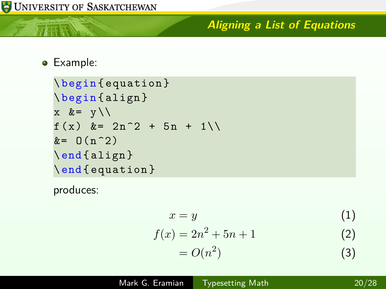## **Aligning a List of Equations**

Example:

小豆属

```
\ begin { equation }
\ begin { align }
x \&= y \setminus \setminusf(x) &= 2n^2 + 5n + 1\&= 0(n^2)\end{ align }
\end{ equation }
```
produces:

$$
x = y \tag{1}
$$

$$
f(x) = 2n^2 + 5n + 1
$$
 (2)

$$
=O(n^2)\tag{3}
$$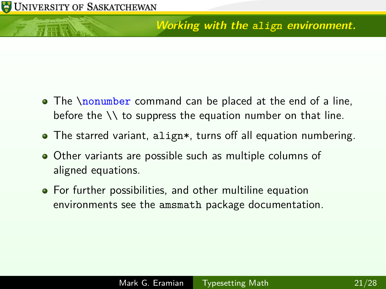# **Working with the align environment.**

- The \nonumber command can be placed at the end of a line, before the \\ to suppress the equation number on that line.
- The starred variant, align\*, turns off all equation numbering.
- Other variants are possible such as multiple columns of aligned equations.
- For further possibilities, and other multiline equation environments see the amsmath package documentation.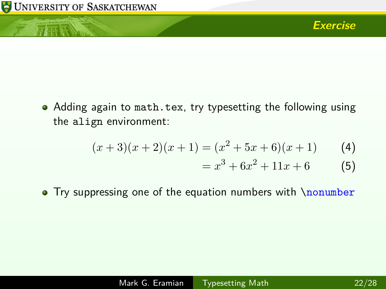行正远

• Adding again to math.tex, try typesetting the following using the align environment:

$$
(x+3)(x+2)(x+1) = (x2 + 5x + 6)(x+1)
$$
 (4)

$$
= x^3 + 6x^2 + 11x + 6 \tag{5}
$$

• Try suppressing one of the equation numbers with \nonumber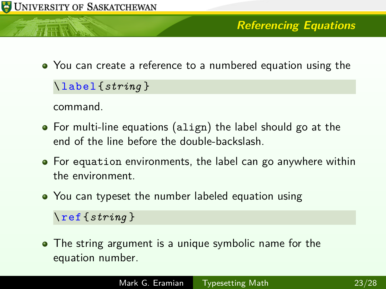行正版

You can create a reference to a numbered equation using the

\ label {*string* }

command.

- For multi-line equations (align) the label should go at the end of the line before the double-backslash.
- For equation environments, the label can go anywhere within the environment.
- You can typeset the number labeled equation using

\ref{*string* }

• The string argument is a unique symbolic name for the equation number.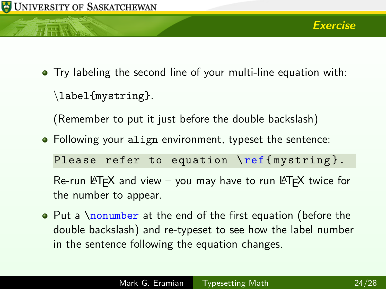Try labeling the second line of your multi-line equation with:

\label{mystring}.

(Remember to put it just before the double backslash)

• Following your align environment, typeset the sentence:

Please refer to equation \ref { mystring }.

Re-run  $\text{AT} \neq X$  and view – you may have to run  $\text{AT} \neq X$  twice for the number to appear.

• Put a \nonumber at the end of the first equation (before the double backslash) and re-typeset to see how the label number in the sentence following the equation changes.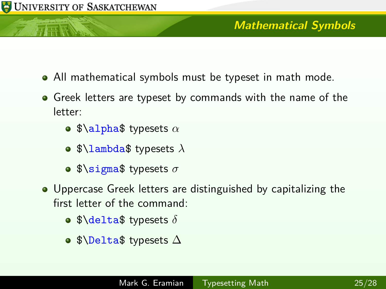TTE

- All mathematical symbols must be typeset in math mode.
- Greek letters are typeset by commands with the name of the letter:
	- $\bullet$  \$\alpha\$ typesets  $\alpha$
	- \$\lambda\$ typesets *λ*
	- \$\sigma\$ typesets *σ*
- Uppercase Greek letters are distinguished by capitalizing the first letter of the command:
	- $\bullet$  \$\delta\$ typesets  $\delta$
	- \$\Delta\$ typesets ∆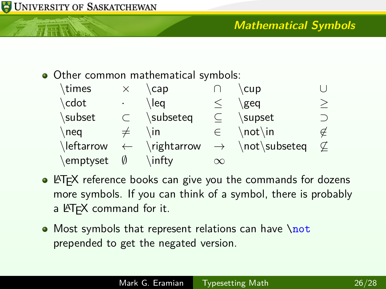

## **Mathematical Symbols**

• Other common mathematical symbols:

| \times     |              | cap         |           | cup                         |   |
|------------|--------------|-------------|-----------|-----------------------------|---|
| \cdot      |              | \lea        |           | geg                         |   |
| \subset    |              | \subseteq   | $\subset$ | \supset                     |   |
| $\neq$     |              | ∖in         | $\in$     | $\not\text{not}\text{in}$   | ∉ |
| \leftarrow | $\leftarrow$ | \rightarrow |           | $\rightarrow$ \not\subseteq |   |
| \emptyset  | $\emptyset$  | \infty\     | $\infty$  |                             |   |

- LAT<sub>E</sub>X reference books can give you the commands for dozens more symbols. If you can think of a symbol, there is probably a LATEX command for it.
- Most symbols that represent relations can have  $\net$ prepended to get the negated version.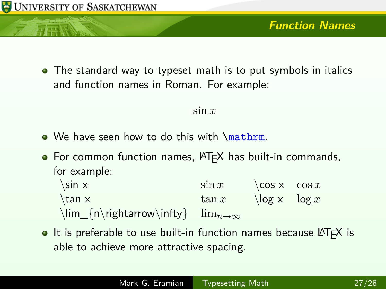行正版

• The standard way to typeset math is to put symbols in italics and function names in Roman. For example:

#### sin *x*

- We have seen how to do this with \mathrm.
- $\bullet$  For common function names,  $\angle$ FIFX has built-in commands, for example:
	- $\sin x$   $\cos x$   $\cos x$  $\tan x$   $\tan x$   $\log x$   $\log x$ \lim\_{n\rightarrow\infty} lim*n*→∞
- $\bullet$  It is preferable to use built-in function names because LAT<sub>F</sub>X is able to achieve more attractive spacing.